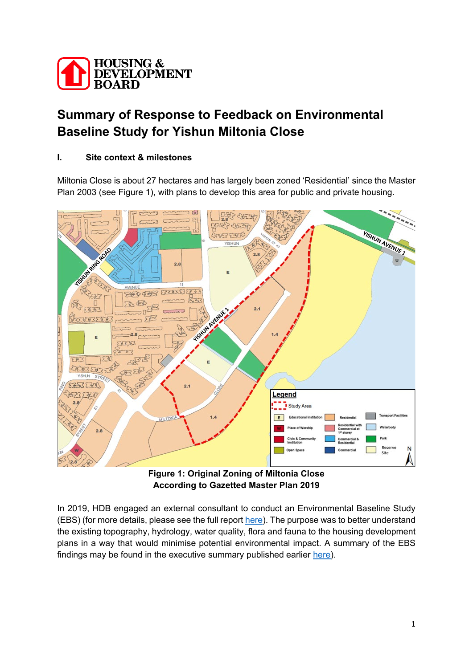

# **Summary of Response to Feedback on Environmental Baseline Study for Yishun Miltonia Close**

## **I. Site context & milestones**

Miltonia Close is about 27 hectares and has largely been zoned 'Residential' since the Master Plan 2003 (see Figure 1), with plans to develop this area for public and private housing.



**Figure 1: Original Zoning of Miltonia Close According to Gazetted Master Plan 2019**

In 2019, HDB engaged an external consultant to conduct an Environmental Baseline Study (EBS) (for more details, please see the full report [here\)](https://www.hdb.gov.sg/cs/infoweb/-/media/doc/RPG/Yishun-Miltonia-EBS-Report.pdf?la=en&hash=5644BFDC8ED55D0815E76E28D3E0DADF3C2DC659). The purpose was to better understand the existing topography, hydrology, water quality, flora and fauna to the housing development plans in a way that would minimise potential environmental impact. A summary of the EBS findings may be found in the executive summary published earlier [here\)](https://www.hdb.gov.sg/cs/infoweb/-/media/doc/RPG/Yishun-Miltonia-Report-Executive-Summary.pdf?la=en&hash=535AF331AA1D575C6A7080A9DCB6154C930FF5C6).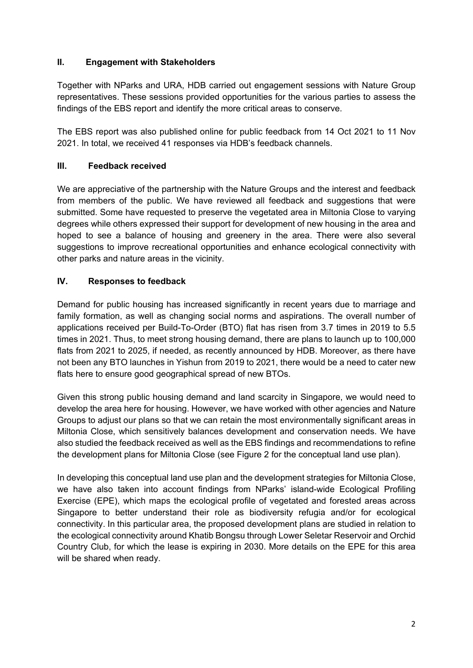### **II. Engagement with Stakeholders**

Together with NParks and URA, HDB carried out engagement sessions with Nature Group representatives. These sessions provided opportunities for the various parties to assess the findings of the EBS report and identify the more critical areas to conserve.

The EBS report was also published online for public feedback from 14 Oct 2021 to 11 Nov 2021. In total, we received 41 responses via HDB's feedback channels.

### **III. Feedback received**

We are appreciative of the partnership with the Nature Groups and the interest and feedback from members of the public. We have reviewed all feedback and suggestions that were submitted. Some have requested to preserve the vegetated area in Miltonia Close to varying degrees while others expressed their support for development of new housing in the area and hoped to see a balance of housing and greenery in the area. There were also several suggestions to improve recreational opportunities and enhance ecological connectivity with other parks and nature areas in the vicinity.

#### **IV. Responses to feedback**

Demand for public housing has increased significantly in recent years due to marriage and family formation, as well as changing social norms and aspirations. The overall number of applications received per Build-To-Order (BTO) flat has risen from 3.7 times in 2019 to 5.5 times in 2021. Thus, to meet strong housing demand, there are plans to launch up to 100,000 flats from 2021 to 2025, if needed, as recently announced by HDB. Moreover, as there have not been any BTO launches in Yishun from 2019 to 2021, there would be a need to cater new flats here to ensure good geographical spread of new BTOs.

Given this strong public housing demand and land scarcity in Singapore, we would need to develop the area here for housing. However, we have worked with other agencies and Nature Groups to adjust our plans so that we can retain the most environmentally significant areas in Miltonia Close, which sensitively balances development and conservation needs. We have also studied the feedback received as well as the EBS findings and recommendations to refine the development plans for Miltonia Close (see Figure 2 for the conceptual land use plan).

In developing this conceptual land use plan and the development strategies for Miltonia Close, we have also taken into account findings from NParks' island-wide Ecological Profiling Exercise (EPE), which maps the ecological profile of vegetated and forested areas across Singapore to better understand their role as biodiversity refugia and/or for ecological connectivity. In this particular area, the proposed development plans are studied in relation to the ecological connectivity around Khatib Bongsu through Lower Seletar Reservoir and Orchid Country Club, for which the lease is expiring in 2030. More details on the EPE for this area will be shared when ready.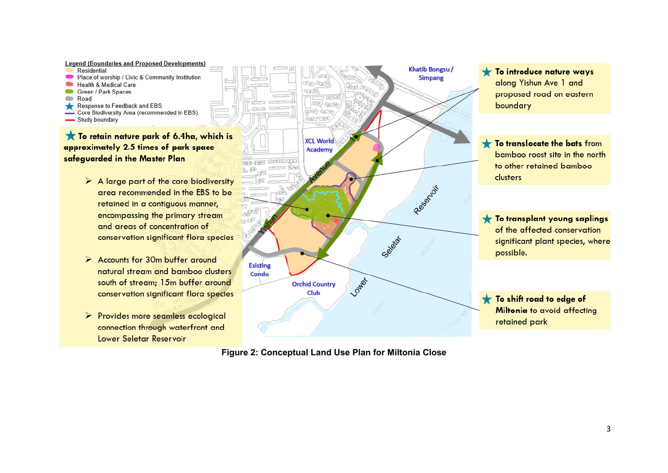

**Figure 2: Conceptual Land Use Plan for Miltonia Close**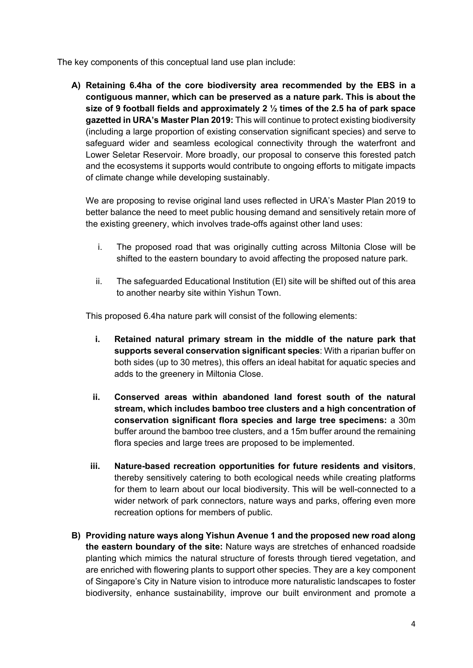The key components of this conceptual land use plan include:

**A) Retaining 6.4ha of the core biodiversity area recommended by the EBS in a contiguous manner, which can be preserved as a nature park. This is about the size of 9 football fields and approximately 2 ½ times of the 2.5 ha of park space gazetted in URA's Master Plan 2019:** This will continue to protect existing biodiversity (including a large proportion of existing conservation significant species) and serve to safeguard wider and seamless ecological connectivity through the waterfront and Lower Seletar Reservoir. More broadly, our proposal to conserve this forested patch and the ecosystems it supports would contribute to ongoing efforts to mitigate impacts of climate change while developing sustainably.

We are proposing to revise original land uses reflected in URA's Master Plan 2019 to better balance the need to meet public housing demand and sensitively retain more of the existing greenery, which involves trade-offs against other land uses:

- i. The proposed road that was originally cutting across Miltonia Close will be shifted to the eastern boundary to avoid affecting the proposed nature park.
- ii. The safeguarded Educational Institution (EI) site will be shifted out of this area to another nearby site within Yishun Town.

This proposed 6.4ha nature park will consist of the following elements:

- **i. Retained natural primary stream in the middle of the nature park that supports several conservation significant species**: With a riparian buffer on both sides (up to 30 metres), this offers an ideal habitat for aquatic species and adds to the greenery in Miltonia Close.
- **ii. Conserved areas within abandoned land forest south of the natural stream, which includes bamboo tree clusters and a high concentration of conservation significant flora species and large tree specimens:** a 30m buffer around the bamboo tree clusters, and a 15m buffer around the remaining flora species and large trees are proposed to be implemented.
- **iii. Nature-based recreation opportunities for future residents and visitors**, thereby sensitively catering to both ecological needs while creating platforms for them to learn about our local biodiversity. This will be well-connected to a wider network of park connectors, nature ways and parks, offering even more recreation options for members of public.
- **B) Providing nature ways along Yishun Avenue 1 and the proposed new road along the eastern boundary of the site:** Nature ways are stretches of enhanced roadside planting which mimics the natural structure of forests through tiered vegetation, and are enriched with flowering plants to support other species. They are a key component of Singapore's City in Nature vision to introduce more naturalistic landscapes to foster biodiversity, enhance sustainability, improve our built environment and promote a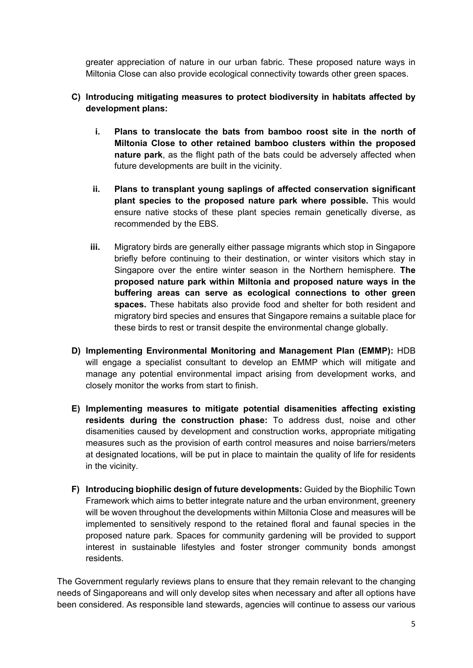greater appreciation of nature in our urban fabric. These proposed nature ways in Miltonia Close can also provide ecological connectivity towards other green spaces.

### **C) Introducing mitigating measures to protect biodiversity in habitats affected by development plans:**

- **i. Plans to translocate the bats from bamboo roost site in the north of Miltonia Close to other retained bamboo clusters within the proposed nature park**, as the flight path of the bats could be adversely affected when future developments are built in the vicinity.
- **ii. Plans to transplant young saplings of affected conservation significant plant species to the proposed nature park where possible.** This would ensure native stocks of these plant species remain genetically diverse, as recommended by the EBS.
- **iii.** Migratory birds are generally either passage migrants which stop in Singapore briefly before continuing to their destination, or winter visitors which stay in Singapore over the entire winter season in the Northern hemisphere. **The proposed nature park within Miltonia and proposed nature ways in the buffering areas can serve as ecological connections to other green spaces.** These habitats also provide food and shelter for both resident and migratory bird species and ensures that Singapore remains a suitable place for these birds to rest or transit despite the environmental change globally.
- **D) Implementing Environmental Monitoring and Management Plan (EMMP):** HDB will engage a specialist consultant to develop an EMMP which will mitigate and manage any potential environmental impact arising from development works, and closely monitor the works from start to finish.
- **E) Implementing measures to mitigate potential disamenities affecting existing residents during the construction phase:** To address dust, noise and other disamenities caused by development and construction works, appropriate mitigating measures such as the provision of earth control measures and noise barriers/meters at designated locations, will be put in place to maintain the quality of life for residents in the vicinity.
- **F) Introducing biophilic design of future developments:** Guided by the Biophilic Town Framework which aims to better integrate nature and the urban environment, greenery will be woven throughout the developments within Miltonia Close and measures will be implemented to sensitively respond to the retained floral and faunal species in the proposed nature park. Spaces for community gardening will be provided to support interest in sustainable lifestyles and foster stronger community bonds amongst residents.

The Government regularly reviews plans to ensure that they remain relevant to the changing needs of Singaporeans and will only develop sites when necessary and after all options have been considered. As responsible land stewards, agencies will continue to assess our various